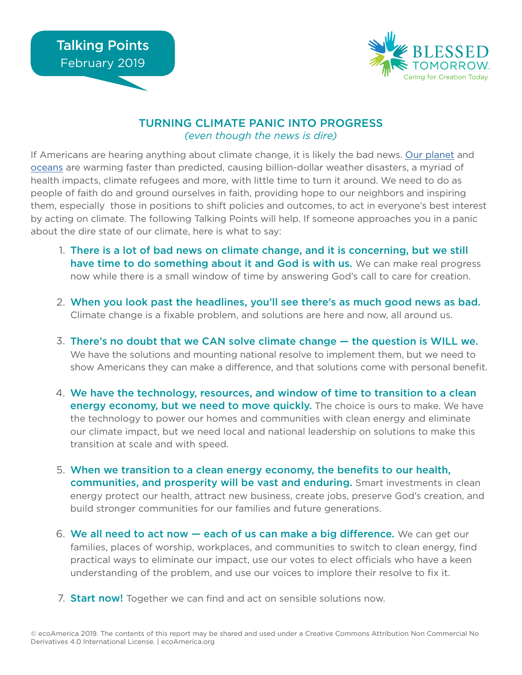

## TURNING CLIMATE PANIC INTO PROGRESS *(even though the news is dire)*

If Americans are hearing anything about climate change, it is likely the bad news. [Our planet](https://www.nationalgeographic.com/environment/2018/10/ipcc-report-climate-change-impacts-forests-emissions/) and [oceans](http://time.com/5500002/oceans-warming-climate-change-impact/) are warming faster than predicted, causing billion-dollar weather disasters, a myriad of health impacts, climate refugees and more, with little time to turn it around. We need to do as people of faith do and ground ourselves in faith, providing hope to our neighbors and inspiring them, especially those in positions to shift policies and outcomes, to act in everyone's best interest by acting on climate. The following Talking Points will help. If someone approaches you in a panic about the dire state of our climate, here is what to say:

- 1. There is a lot of bad news on climate change, and it is concerning, but we still have time to do something about it and God is with us. We can make real progress now while there is a small window of time by answering God's call to care for creation.
- When you look past the headlines, you'll see there's as much good news as bad. 2. Climate change is a fixable problem, and solutions are here and now, all around us.
- $3.$  There's no doubt that we CAN solve climate change  $-$  the question is WILL we. We have the solutions and mounting national resolve to implement them, but we need to show Americans they can make a difference, and that solutions come with personal benefit.
- We have the technology, resources, and window of time to transition to a clean 4. energy economy, but we need to move quickly. The choice is ours to make. We have the technology to power our homes and communities with clean energy and eliminate our climate impact, but we need local and national leadership on solutions to make this transition at scale and with speed.
- When we transition to a clean energy economy, the benefits to our health, 5. communities, and prosperity will be vast and enduring. Smart investments in clean energy protect our health, attract new business, create jobs, preserve God's creation, and build stronger communities for our families and future generations.
- 6. We all need to act now each of us can make a big difference. We can get our families, places of worship, workplaces, and communities to switch to clean energy, find practical ways to eliminate our impact, use our votes to elect officials who have a keen understanding of the problem, and use our voices to implore their resolve to fix it.
- 7. **Start now!** Together we can find and act on sensible solutions now.